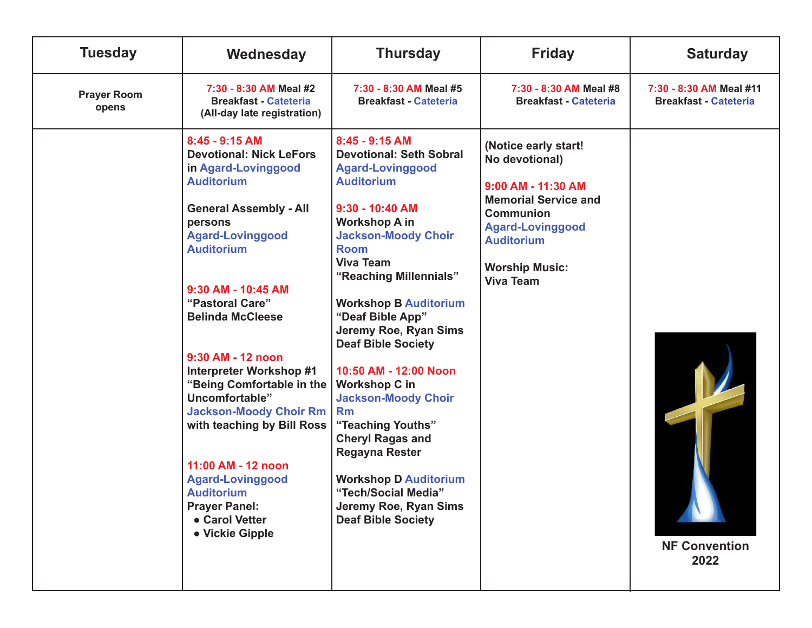| <b>Tuesday</b>              | Wednesday                                                                                                                                                                                                                                                                                                                                                                                                                                                                                                                                                              | <b>Thursday</b>                                                                                                                                                                                                                                                                                                                                                                                                                                                                                                                                                                                                               | <b>Friday</b>                                                                                                                                                                                                | <b>Saturday</b>                                         |
|-----------------------------|------------------------------------------------------------------------------------------------------------------------------------------------------------------------------------------------------------------------------------------------------------------------------------------------------------------------------------------------------------------------------------------------------------------------------------------------------------------------------------------------------------------------------------------------------------------------|-------------------------------------------------------------------------------------------------------------------------------------------------------------------------------------------------------------------------------------------------------------------------------------------------------------------------------------------------------------------------------------------------------------------------------------------------------------------------------------------------------------------------------------------------------------------------------------------------------------------------------|--------------------------------------------------------------------------------------------------------------------------------------------------------------------------------------------------------------|---------------------------------------------------------|
| <b>Prayer Room</b><br>opens | 7:30 - 8:30 AM Meal #2<br><b>Breakfast - Cateteria</b><br>(All-day late registration)                                                                                                                                                                                                                                                                                                                                                                                                                                                                                  | 7:30 - 8:30 AM Meal #5<br><b>Breakfast - Cateteria</b>                                                                                                                                                                                                                                                                                                                                                                                                                                                                                                                                                                        | 7:30 - 8:30 AM Meal #8<br><b>Breakfast - Cateteria</b>                                                                                                                                                       | 7:30 - 8:30 AM Meal #11<br><b>Breakfast - Cateteria</b> |
|                             | $8:45 - 9:15$ AM<br><b>Devotional: Nick LeFors</b><br>in Agard-Lovinggood<br><b>Auditorium</b><br><b>General Assembly - All</b><br>persons<br><b>Agard-Lovinggood</b><br><b>Auditorium</b><br>9:30 AM - 10:45 AM<br>"Pastoral Care"<br><b>Belinda McCleese</b><br>9:30 AM - 12 noon<br><b>Interpreter Workshop #1</b><br>"Being Comfortable in the<br>Uncomfortable"<br><b>Jackson-Moody Choir Rm</b><br>with teaching by Bill Ross<br>11:00 AM - 12 noon<br><b>Agard-Lovinggood</b><br><b>Auditorium</b><br><b>Prayer Panel:</b><br>• Carol Vetter<br>• Vickie Gipple | $8:45 - 9:15$ AM<br><b>Devotional: Seth Sobral</b><br><b>Agard-Lovinggood</b><br><b>Auditorium</b><br>9:30 - 10:40 AM<br><b>Workshop A in</b><br><b>Jackson-Moody Choir</b><br><b>Room</b><br><b>Viva Team</b><br>"Reaching Millennials"<br><b>Workshop B Auditorium</b><br>"Deaf Bible App"<br>Jeremy Roe, Ryan Sims<br><b>Deaf Bible Society</b><br>10:50 AM - 12:00 Noon<br><b>Workshop C in</b><br><b>Jackson-Moody Choir</b><br><b>Rm</b><br>"Teaching Youths"<br><b>Cheryl Ragas and</b><br>Regayna Rester<br><b>Workshop D Auditorium</b><br>"Tech/Social Media"<br>Jeremy Roe, Ryan Sims<br><b>Deaf Bible Society</b> | (Notice early start!<br>No devotional)<br>9:00 AM - 11:30 AM<br><b>Memorial Service and</b><br><b>Communion</b><br><b>Agard-Lovinggood</b><br><b>Auditorium</b><br><b>Worship Music:</b><br><b>Viva Team</b> | <b>NF Convention</b><br>2022                            |